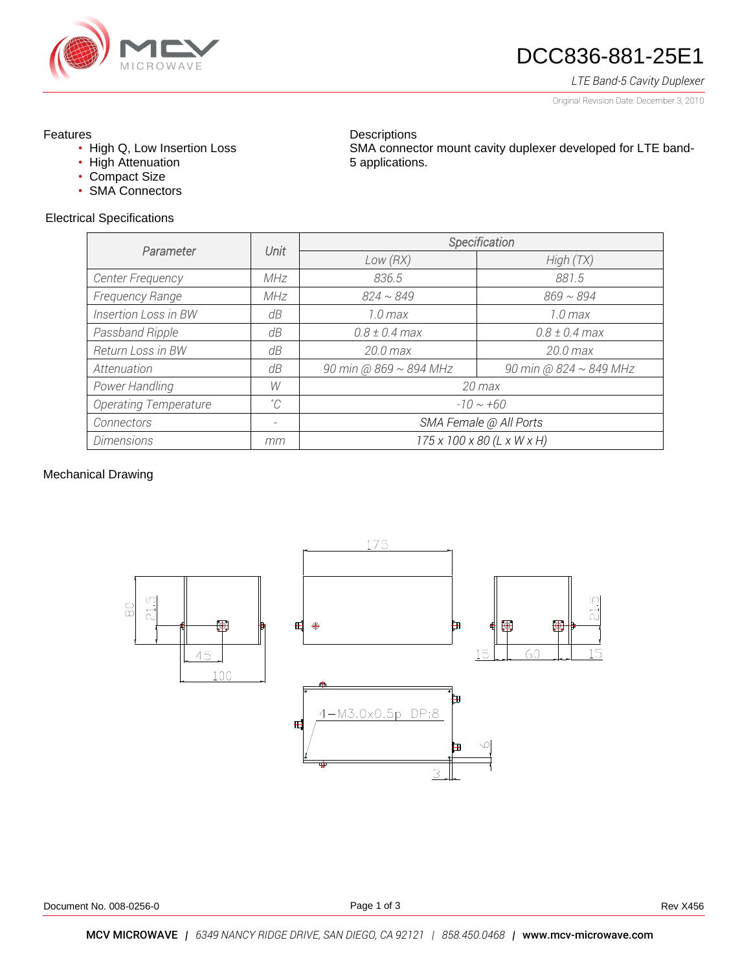

# DCC836-881-25E1

## *LTE Band-5 Cavity Duplexer*

Original Revision Date: December 3, 2010

### Features

- High Q, Low Insertion Loss
- High Attenuation
- Compact Size
- SMA Connectors

### Electrical Specifications

**Descriptions** SMA connector mount cavity duplexer developed for LTE band-5 applications.

| Parameter                    |             | Specification              |                             |
|------------------------------|-------------|----------------------------|-----------------------------|
|                              | Unit        | Low(RX)                    | High(TX)                    |
| Center Frequency             | <b>MHz</b>  | 836.5                      | 881.5                       |
| Frequency Range              | MHz         | $824 \sim 849$             | $869 \sim 894$              |
| Insertion Loss in BW         | dB          | $1.0 \text{ max}$          | $1.0 \text{ max}$           |
| Passband Ripple              | dB          | $0.8 \pm 0.4$ max          | $0.8 \pm 0.4$ max           |
| Return Loss in BW            | dB          | $20.0$ max                 | 20.0 max                    |
| Attenuation                  | dB          | 90 min @ 869 ~ 894 MHz     | 90 min @ $824 \sim 849$ MHz |
| Power Handling               | W           | $20$ max                   |                             |
| <b>Operating Temperature</b> | $^{\circ}C$ | $-10 \sim +60$             |                             |
| Connectors                   | -           | SMA Female @ All Ports     |                             |
| <b>Dimensions</b>            | mm          | 175 x 100 x 80 (L x W x H) |                             |

### Mechanical Drawing

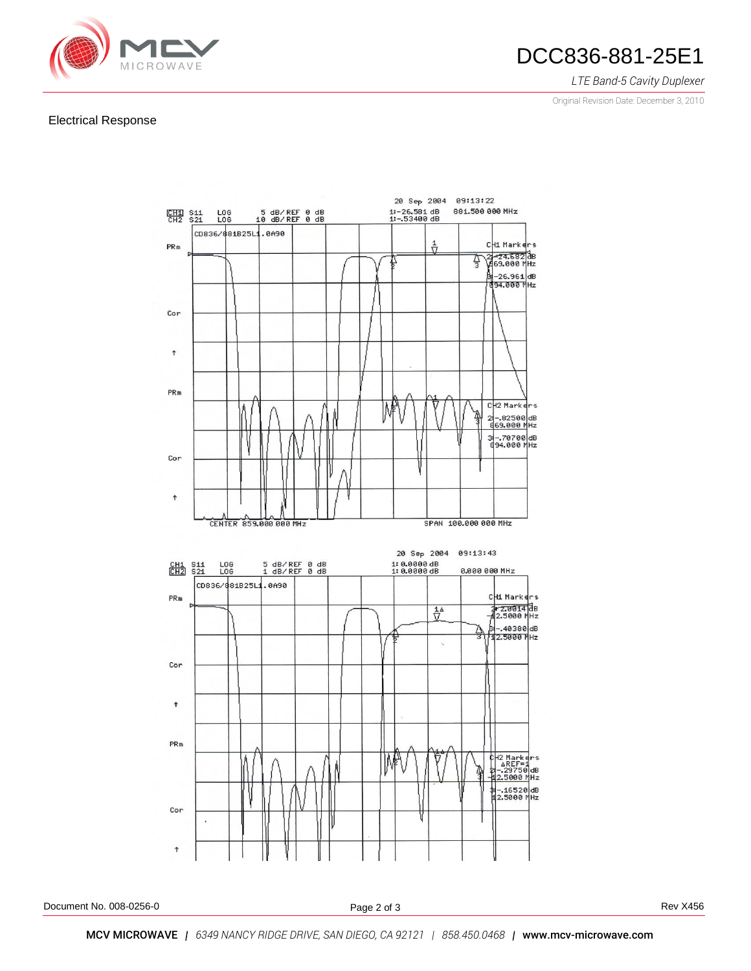

## DCC836-881-25E1

### *LTE Band-5 Cavity Duplexer*

Original Revision Date: December 3, 2010

#### Electrical Response



Document No. 008-0256-0 **Rev X456** Rev X456

Page 2 of 3